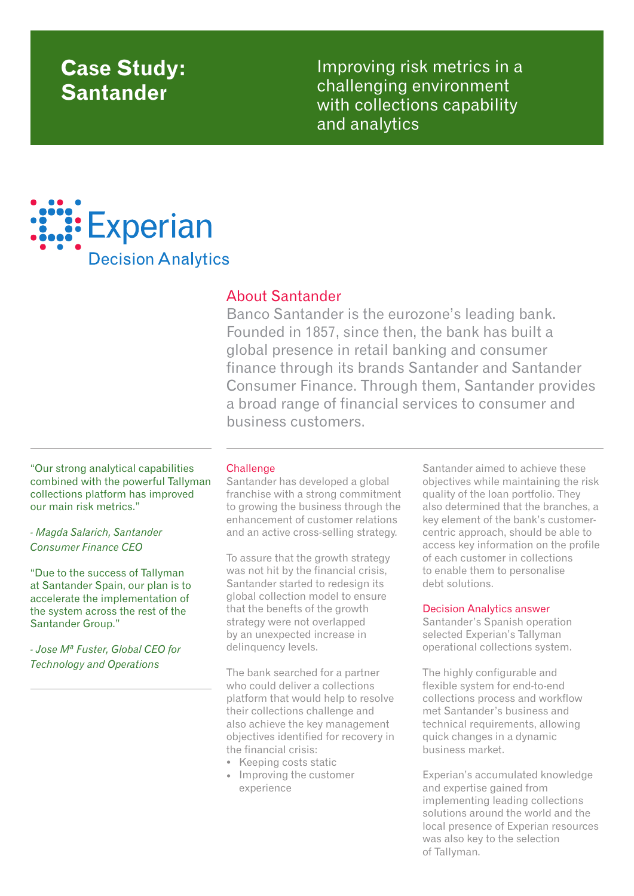# **Case Study: Santander**

Improving risk metrics in a challenging environment with collections capability and analytics



## About Santander

Banco Santander is the eurozone's leading bank. Founded in 1857, since then, the bank has built a global presence in retail banking and consumer finance through its brands Santander and Santander Consumer Finance. Through them, Santander provides a broad range of financial services to consumer and business customers.

"Our strong analytical capabilities combined with the powerful Tallyman collections platform has improved our main risk metrics."

*- Magda Salarich, Santander Consumer Finance CEO*

"Due to the success of Tallyman at Santander Spain, our plan is to accelerate the implementation of the system across the rest of the Santander Group."

*- Jose Mª Fuster, Global CEO for Technology and Operations*

### **Challenge**

Santander has developed a global franchise with a strong commitment to growing the business through the enhancement of customer relations and an active cross-selling strategy.

To assure that the growth strategy was not hit by the financial crisis, Santander started to redesign its global collection model to ensure that the benefts of the growth strategy were not overlapped by an unexpected increase in delinquency levels.

The bank searched for a partner who could deliver a collections platform that would help to resolve their collections challenge and also achieve the key management objectives identified for recovery in the financial crisis:

- Keeping costs static
- Improving the customer experience

Santander aimed to achieve these objectives while maintaining the risk quality of the loan portfolio. They also determined that the branches, a key element of the bank's customercentric approach, should be able to access key information on the profile of each customer in collections to enable them to personalise debt solutions.

#### Decision Analytics answer

Santander's Spanish operation selected Experian's Tallyman operational collections system.

The highly configurable and flexible system for end-to-end collections process and workflow met Santander's business and technical requirements, allowing quick changes in a dynamic business market.

Experian's accumulated knowledge and expertise gained from implementing leading collections solutions around the world and the local presence of Experian resources was also key to the selection of Tallyman.